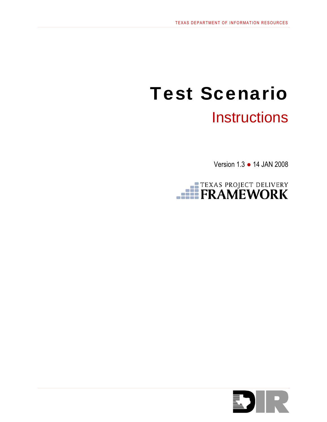# Test Scenario **Instructions**

Version 1.3 ● 14 JAN 2008



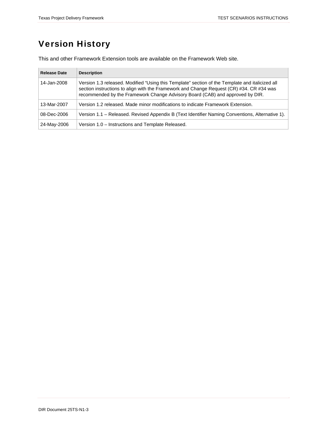# Version History

This and other Framework Extension tools are available on the Framework Web site.

| <b>Release Date</b> | <b>Description</b>                                                                                                                                                                                                                                                           |
|---------------------|------------------------------------------------------------------------------------------------------------------------------------------------------------------------------------------------------------------------------------------------------------------------------|
| 14-Jan-2008         | Version 1.3 released. Modified "Using this Template" section of the Template and italicized all<br>section instructions to align with the Framework and Change Request (CR) #34. CR #34 was<br>recommended by the Framework Change Advisory Board (CAB) and approved by DIR. |
| 13-Mar-2007         | Version 1.2 released. Made minor modifications to indicate Framework Extension.                                                                                                                                                                                              |
| 08-Dec-2006         | Version 1.1 - Released. Revised Appendix B (Text Identifier Naming Conventions, Alternative 1).                                                                                                                                                                              |
| 24-May-2006         | Version 1.0 – Instructions and Template Released.                                                                                                                                                                                                                            |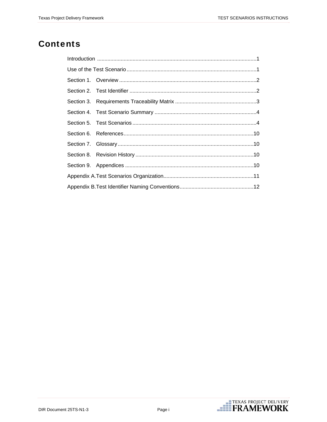# **Contents**

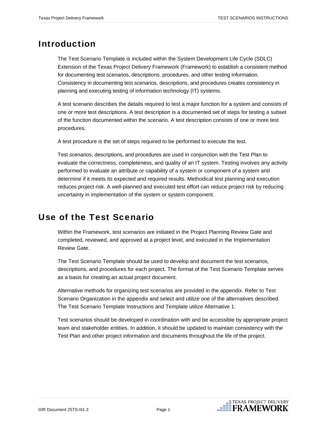### <span id="page-3-0"></span>Introduction

The Test Scenario Template is included within the System Development Life Cycle (SDLC) Extension of the Texas Project Delivery Framework (Framework) to establish a consistent method for documenting test scenarios, descriptions, procedures, and other testing information. Consistency in documenting test scenarios, descriptions, and procedures creates consistency in planning and executing testing of information technology (IT) systems.

A test scenario describes the details required to test a major function for a system and consists of one or more test descriptions. A test description is a documented set of steps for testing a subset of the function documented within the scenario. A test description consists of one or more test procedures.

A test procedure is the set of steps required to be performed to execute the test.

Test scenarios, descriptions, and procedures are used in conjunction with the Test Plan to evaluate the [correctness,](http://www.centipedia.com/articles/Correctness) [completeness,](http://www.centipedia.com/articles/Completeness) and quality of an IT system. Testing involves any activity performed to evaluate an attribute or capability of a system or component of a system and determine if it meets its expected and required results. Methodical test planning and execution reduces project risk. A well-planned and executed test effort can reduce project risk by reducing uncertainty in implementation of the system or system component.

# Use of the Test Scenario

Within the Framework, test scenarios are initiated in the Project Planning Review Gate and completed, reviewed, and approved at a project level, and executed in the Implementation Review Gate.

The Test Scenario Template should be used to develop and document the test scenarios, descriptions, and procedures for each project. The format of the Test Scenario Template serves as a basis for creating an actual project document.

Alternative methods for organizing test scenarios are provided in the appendix. Refer to Test Scenario Organization in the appendix and select and utilize one of the alternatives described. The Test Scenario Template Instructions and Template utilize Alternative 1.

Test scenarios should be developed in coordination with and be accessible by appropriate project team and stakeholder entities. In addition, it should be updated to maintain consistency with the Test Plan and other project information and documents throughout the life of the project.

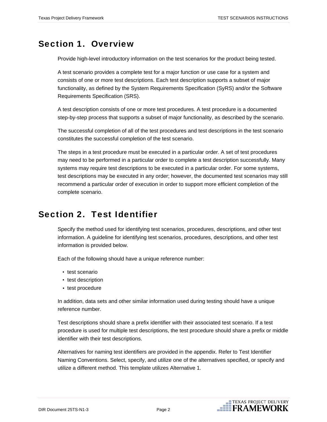# <span id="page-4-0"></span>Section 1. Overview

Provide high-level introductory information on the test scenarios for the product being tested.

A test scenario provides a complete test for a major function or use case for a system and consists of one or more test descriptions. Each test description supports a subset of major functionality, as defined by the System Requirements Specification (SyRS) and/or the Software Requirements Specification (SRS).

A test description consists of one or more test procedures. A test procedure is a documented step-by-step process that supports a subset of major functionality, as described by the scenario.

The successful completion of all of the test procedures and test descriptions in the test scenario constitutes the successful completion of the test scenario.

The steps in a test procedure must be executed in a particular order. A set of test procedures may need to be performed in a particular order to complete a test description successfully. Many systems may require test descriptions to be executed in a particular order. For some systems, test descriptions may be executed in any order; however, the documented test scenarios may still recommend a particular order of execution in order to support more efficient completion of the complete scenario.

# Section 2. Test Identifier

Specify the method used for identifying test scenarios, procedures, descriptions, and other test information. A guideline for identifying test scenarios, procedures, descriptions, and other test information is provided below.

Each of the following should have a unique reference number:

- test scenario
- test description
- test procedure

In addition, data sets and other similar information used during testing should have a unique reference number.

Test descriptions should share a prefix identifier with their associated test scenario. If a test procedure is used for multiple test descriptions, the test procedure should share a prefix or middle identifier with their test descriptions.

Alternatives for naming test identifiers are provided in the appendix. Refer to Test Identifier Naming Conventions. Select, specify, and utilize one of the alternatives specified, or specify and utilize a different method. This template utilizes Alternative 1.

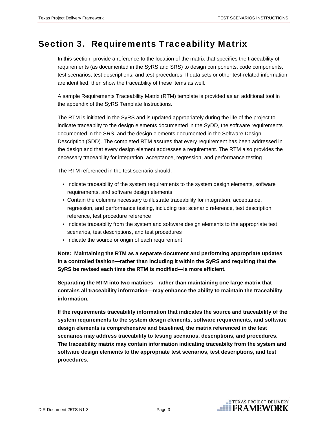### <span id="page-5-0"></span>Section 3. Requirements Traceability Matrix

In this section, provide a reference to the location of the matrix that specifies the traceability of requirements (as documented in the SyRS and SRS) to design components, code components, test scenarios, test descriptions, and test procedures. If data sets or other test-related information are identified, then show the traceability of these items as well.

A sample Requirements Traceability Matrix (RTM) template is provided as an additional tool in the appendix of the SyRS Template Instructions.

The RTM is initiated in the SyRS and is updated appropriately during the life of the project to indicate traceabilty to the design elements documented in the SyDD, the software requirements documented in the SRS, and the design elements documented in the Software Design Description (SDD). The completed RTM assures that every requirement has been addressed in the design and that every design element addresses a requirement. The RTM also provides the necessary traceability for integration, acceptance, regression, and performance testing.

The RTM referenced in the test scenario should:

- Indicate traceability of the system requirements to the system design elements, software requirements, and software design elements
- Contain the columns necessary to illustrate traceability for integration, acceptance, regression, and performance testing, including test scenario reference, test description reference, test procedure reference
- Indicate traceabilty from the system and software design elements to the appropriate test scenarios, test descriptions, and test procedures
- Indicate the source or origin of each requirement

**Note: Maintaining the RTM as a separate document and performing appropriate updates in a controlled fashion—rather than including it within the SyRS and requiring that the SyRS be revised each time the RTM is modified—is more efficient.** 

**Separating the RTM into two matrices—rather than maintaining one large matrix that contains all traceability information—may enhance the ability to maintain the traceability information.** 

**If the requirements traceability information that indicates the source and traceability of the system requirements to the system design elements, software requirements, and software design elements is comprehensive and baselined, the matrix referenced in the test scenarios may address traceability to testing scenarios, descriptions, and procedures. The traceability matrix may contain information indicating traceabilty from the system and software design elements to the appropriate test scenarios, test descriptions, and test procedures.**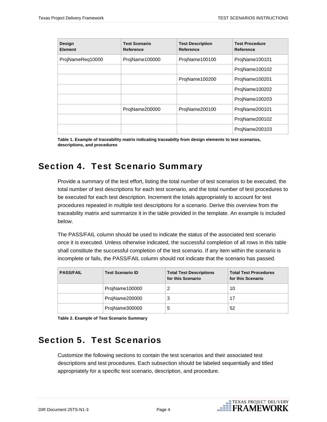<span id="page-6-0"></span>

| Design<br><b>Element</b> | <b>Test Scenario</b><br>Reference | <b>Test Description</b><br><b>Reference</b> | <b>Test Procedure</b><br>Reference |
|--------------------------|-----------------------------------|---------------------------------------------|------------------------------------|
| ProjNameReq10000         | ProjName100000                    | ProjName100100                              | ProjName100101                     |
|                          |                                   |                                             | ProjName100102                     |
|                          |                                   | ProjName100200                              | ProjName100201                     |
|                          |                                   |                                             | ProjName100202                     |
|                          |                                   |                                             | ProjName100203                     |
|                          | ProjName200000                    | ProjName200100                              | ProjName200101                     |
|                          |                                   |                                             | ProjName200102                     |
|                          |                                   |                                             | ProjName200103                     |

**Table 1. Example of traceability matrix indicating traceabilty from design elements to test scenarios, descriptions, and procedures** 

# Section 4. Test Scenario Summary

Provide a summary of the test effort, listing the total number of test scenarios to be executed, the total number of test descriptions for each test scenario, and the total number of test procedures to be executed for each test description. Increment the totals appropriately to account for test procedures repeated in multiple test descriptions for a scenario. Derive this overview from the traceability matrix and summarize it in the table provided in the template. An example is included below.

The PASS/FAIL column should be used to indicate the status of the associated test scenario once it is executed. Unless otherwise indicated, the successful completion of all rows in this table shall constitute the successful completion of the test scenario. If any item within the scenario is incomplete or fails, the PASS/FAIL column should not indicate that the scenario has passed.

| <b>PASS/FAIL</b> | <b>Test Scenario ID</b> | <b>Total Test Descriptions</b><br>for this Scenario | <b>Total Test Procedures</b><br>for this Scenario |
|------------------|-------------------------|-----------------------------------------------------|---------------------------------------------------|
|                  | ProjName100000          |                                                     | 10                                                |
|                  | ProjName200000          | ?<br>w                                              | 17                                                |
|                  | ProjName300000          | 5                                                   | 52                                                |

**Table 2. Example of Test Scenario Summary** 

# Section 5. Test Scenarios

Customize the following sections to contain the test scenarios and their associated test descriptions and test procedures. Each subsection should be labeled sequentially and titled appropriately for a specific test scenario, description, and procedure.

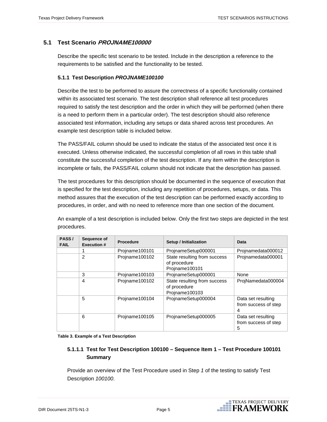### **5.1 Test Scenario PROJNAME100000**

Describe the specific test scenario to be tested. Include in the description a reference to the requirements to be satisfied and the functionality to be tested.

#### **5.1.1 Test Description** *PROJNAME100100*

Describe the test to be performed to assure the correctness of a specific functionality contained within its associated test scenario. The test description shall reference all test procedures required to satisfy the test description and the order in which they will be performed (when there is a need to perform them in a particular order). The test description should also reference associated test information, including any setups or data shared across test procedures. An example test description table is included below.

The PASS/FAIL column should be used to indicate the status of the associated test once it is executed. Unless otherwise indicated, the successful completion of all rows in this table shall constitute the successful completion of the test description. If any item within the description is incomplete or fails, the PASS/FAIL column should not indicate that the description has passed.

The test procedures for this description should be documented in the sequence of execution that is specified for the test description, including any repetition of procedures, setups, or data. This method assures that the execution of the test description can be performed exactly according to procedures, in order, and with no need to reference more than one section of the document.

An example of a test description is included below. Only the first two steps are depicted in the test procedures.

| PASS/<br><b>FAIL</b> | Sequence of<br><b>Execution #</b> | <b>Procedure</b> | Setup / Initialization                                         | Data                                            |
|----------------------|-----------------------------------|------------------|----------------------------------------------------------------|-------------------------------------------------|
|                      |                                   | Projname100101   | ProjnameSetup000001                                            | Projnamedata000012                              |
|                      | 2                                 | Projname100102   | State resulting from success<br>of procedure<br>Projname100101 | Projnamedata000001                              |
|                      | 3                                 | Projname100103   | ProjnameSetup000001                                            | None                                            |
|                      | 4                                 | Projname100102   | State resulting from success<br>of procedure<br>Projname100103 | ProjNamedata000004                              |
|                      | 5                                 | Projname100104   | ProjnameSetup000004                                            | Data set resulting<br>from success of step<br>4 |
|                      | 6                                 | Projname100105   | ProjnameSetup000005                                            | Data set resulting<br>from success of step<br>5 |

**Table 3. Example of a Test Description** 

### **5.1.1.1 Test for Test Description 100100 – Sequence Item 1 – Test Procedure 100101 Summary**

Provide an overview of the Test Procedure used in Step *1* of the testing to satisfy Test Description *100100*.

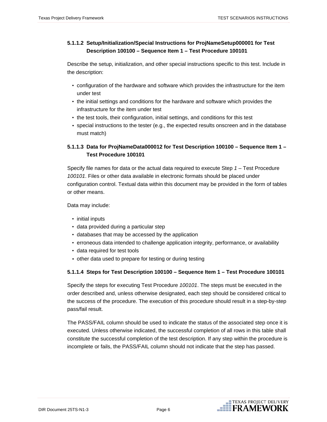### **5.1.1.2 Setup/Initialization/Special Instructions for ProjNameSetup000001 for Test Description 100100 – Sequence Item 1 – Test Procedure 100101**

Describe the setup, initialization, and other special instructions specific to this test. Include in the description:

- configuration of the hardware and software which provides the infrastructure for the item under test
- the initial settings and conditions for the hardware and software which provides the infrastructure for the item under test
- the test tools, their configuration, initial settings, and conditions for this test
- special instructions to the tester (e.g., the expected results onscreen and in the database must match)

### **5.1.1.3 Data for ProjNameData000012 for Test Description 100100 – Sequence Item 1 – Test Procedure 100101**

Specify file names for data or the actual data required to execute Step *1* – Test Procedure *100101*. Files or other data available in electronic formats should be placed under configuration control. Textual data within this document may be provided in the form of tables or other means.

Data may include:

- initial inputs
- data provided during a particular step
- databases that may be accessed by the application
- erroneous data intended to challenge application integrity, performance, or availability
- data required for test tools
- other data used to prepare for testing or during testing

#### **5.1.1.4 Steps for Test Description 100100 – Sequence Item 1 – Test Procedure 100101**

Specify the steps for executing Test Procedure *100101*. The steps must be executed in the order described and, unless otherwise designated, each step should be considered critical to the success of the procedure. The execution of this procedure should result in a step-by-step pass/fail result.

The PASS/FAIL column should be used to indicate the status of the associated step once it is executed. Unless otherwise indicated, the successful completion of all rows in this table shall constitute the successful completion of the test description. If any step within the procedure is incomplete or fails, the PASS/FAIL column should not indicate that the step has passed.

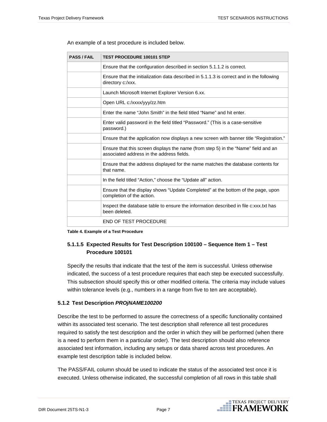| <b>PASS / FAIL</b> | <b>TEST PROCEDURE 100101 STEP</b>                                                                                               |
|--------------------|---------------------------------------------------------------------------------------------------------------------------------|
|                    | Ensure that the configuration described in section 5.1.1.2 is correct.                                                          |
|                    | Ensure that the initialization data described in 5.1.1.3 is correct and in the following<br>directory c:/xxx.                   |
|                    | Launch Microsoft Internet Explorer Version 6.xx.                                                                                |
|                    | Open URL c:/xxxx/yyy/zz.htm                                                                                                     |
|                    | Enter the name "John Smith" in the field titled "Name" and hit enter.                                                           |
|                    | Enter valid password in the field titled "Password." (This is a case-sensitive<br>password.)                                    |
|                    | Ensure that the application now displays a new screen with banner title "Registration."                                         |
|                    | Ensure that this screen displays the name (from step 5) in the "Name" field and an<br>associated address in the address fields. |
|                    | Ensure that the address displayed for the name matches the database contents for<br>that name.                                  |
|                    | In the field titled "Action," choose the "Update all" action.                                                                   |
|                    | Ensure that the display shows "Update Completed" at the bottom of the page, upon<br>completion of the action.                   |
|                    | Inspect the database table to ensure the information described in file c:xxx.txt has<br>been deleted.                           |
|                    | <b>END OF TEST PROCEDURE</b>                                                                                                    |

An example of a test procedure is included below.

**Table 4. Example of a Test Procedure** 

### **5.1.1.5 Expected Results for Test Description 100100 – Sequence Item 1 – Test Procedure 100101**

Specify the results that indicate that the test of the item is successful. Unless otherwise indicated, the success of a test procedure requires that each step be executed successfully. This subsection should specify this or other modified criteria. The criteria may include values within tolerance levels (e.g., numbers in a range from five to ten are acceptable).

#### **5.1.2 Test Description** *PROjNAME100200*

Describe the test to be performed to assure the correctness of a specific functionality contained within its associated test scenario. The test description shall reference all test procedures required to satisfy the test description and the order in which they will be performed (when there is a need to perform them in a particular order). The test description should also reference associated test information, including any setups or data shared across test procedures. An example test description table is included below.

The PASS/FAIL column should be used to indicate the status of the associated test once it is executed. Unless otherwise indicated, the successful completion of all rows in this table shall

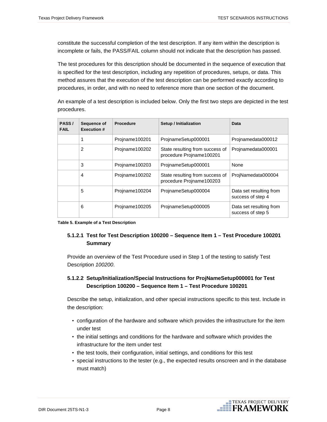constitute the successful completion of the test description. If any item within the description is incomplete or fails, the PASS/FAIL column should not indicate that the description has passed.

The test procedures for this description should be documented in the sequence of execution that is specified for the test description, including any repetition of procedures, setups, or data. This method assures that the execution of the test description can be performed exactly according to procedures, in order, and with no need to reference more than one section of the document.

An example of a test description is included below. Only the first two steps are depicted in the test procedures.

| PASS/<br><b>FAIL</b> | Sequence of<br><b>Execution #</b> | <b>Procedure</b> | Setup / Initialization                                      | Data                                         |
|----------------------|-----------------------------------|------------------|-------------------------------------------------------------|----------------------------------------------|
|                      |                                   | Projname100201   | ProjnameSetup000001                                         | Projnamedata000012                           |
|                      | 2                                 | Projname100202   | State resulting from success of<br>procedure Projname100201 | Projnamedata000001                           |
|                      | 3                                 | Projname100203   | ProjnameSetup000001                                         | None                                         |
|                      | 4                                 | Projname100202   | State resulting from success of<br>procedure Projname100203 | ProjNamedata000004                           |
|                      | 5                                 | Projname100204   | ProjnameSetup000004                                         | Data set resulting from<br>success of step 4 |
|                      | 6                                 | Projname100205   | ProjnameSetup000005                                         | Data set resulting from<br>success of step 5 |

**Table 5. Example of a Test Description** 

### **5.1.2.1 Test for Test Description 100200 – Sequence Item 1 – Test Procedure 100201 Summary**

Provide an overview of the Test Procedure used in Step 1 of the testing to satisfy Test Description *100200*.

### **5.1.2.2 Setup/Initialization/Special Instructions for ProjNameSetup000001 for Test Description 100200 – Sequence Item 1 – Test Procedure 100201**

Describe the setup, initialization, and other special instructions specific to this test. Include in the description:

- configuration of the hardware and software which provides the infrastructure for the item under test
- the initial settings and conditions for the hardware and software which provides the infrastructure for the item under test
- the test tools, their configuration, initial settings, and conditions for this test
- special instructions to the tester (e.g., the expected results onscreen and in the database must match)

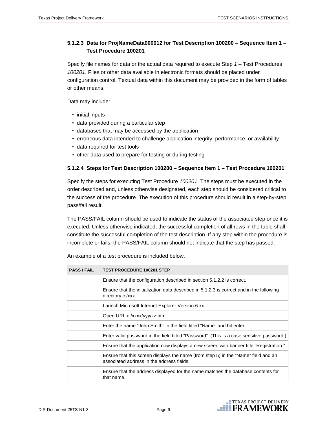### **5.1.2.3 Data for ProjNameData000012 for Test Description 100200 – Sequence Item 1 – Test Procedure 100201**

Specify file names for data or the actual data required to execute Step *1* – Test Procedures *100201*. Files or other data available in electronic formats should be placed under configuration control. Textual data within this document may be provided in the form of tables or other means.

Data may include:

- initial inputs
- data provided during a particular step
- databases that may be accessed by the application
- erroneous data intended to challenge application integrity, performance, or availability
- data required for test tools
- other data used to prepare for testing or during testing

#### **5.1.2.4 Steps for Test Description 100200 – Sequence Item 1 – Test Procedure 100201**

Specify the steps for executing Test Procedure *100201*. The steps must be executed in the order described and, unless otherwise designated, each step should be considered critical to the success of the procedure. The execution of this procedure should result in a step-by-step pass/fail result.

The PASS/FAIL column should be used to indicate the status of the associated step once it is executed. Unless otherwise indicated, the successful completion of all rows in the table shall constitute the successful completion of the test description. If any step within the procedure is incomplete or fails, the PASS/FAIL column should not indicate that the step has passed.

| <b>PASS / FAIL</b> | <b>TEST PROCEDURE 100201 STEP</b>                                                                                               |
|--------------------|---------------------------------------------------------------------------------------------------------------------------------|
|                    | Ensure that the configuration described in section 5.1.2.2 is correct.                                                          |
|                    | Ensure that the initialization data described in 5.1.2.3 is correct and in the following<br>directory c:/xxx.                   |
|                    | Launch Microsoft Internet Explorer Version 6.xx.                                                                                |
|                    | Open URL c:/xxxx/yyy/zz.htm                                                                                                     |
|                    | Enter the name "John Smith" in the field titled "Name" and hit enter.                                                           |
|                    | Enter valid password in the field titled "Password". (This is a case sensitive password.)                                       |
|                    | Ensure that the application now displays a new screen with banner title "Registration."                                         |
|                    | Ensure that this screen displays the name (from step 5) in the "Name" field and an<br>associated address in the address fields. |
|                    | Ensure that the address displayed for the name matches the database contents for<br>that name.                                  |

An example of a test procedure is included below.

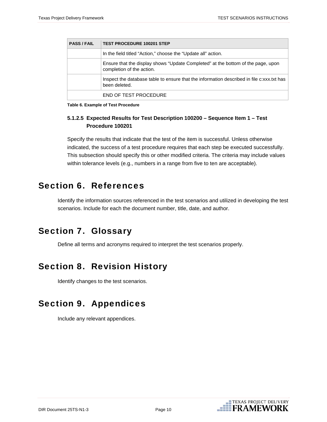<span id="page-12-0"></span>

| <b>PASS/FAIL</b> | <b>TEST PROCEDURE 100201 STEP</b>                                                                             |
|------------------|---------------------------------------------------------------------------------------------------------------|
|                  | In the field titled "Action," choose the "Update all" action.                                                 |
|                  | Ensure that the display shows "Update Completed" at the bottom of the page, upon<br>completion of the action. |
|                  | Inspect the database table to ensure that the information described in file c:xxx.txt has<br>been deleted.    |
|                  | END OF TEST PROCEDURE                                                                                         |

**Table 6. Example of Test Procedure** 

### **5.1.2.5 Expected Results for Test Description 100200 – Sequence Item 1 – Test Procedure 100201**

Specify the results that indicate that the test of the item is successful. Unless otherwise indicated, the success of a test procedure requires that each step be executed successfully. This subsection should specify this or other modified criteria. The criteria may include values within tolerance levels (e.g., numbers in a range from five to ten are acceptable).

### Section 6. References

Identify the information sources referenced in the test scenarios and utilized in developing the test scenarios. Include for each the document number, title, date, and author.

# Section 7. Glossary

Define all terms and acronyms required to interpret the test scenarios properly.

# Section 8. Revision History

Identify changes to the test scenarios.

# Section 9. Appendices

Include any relevant appendices.

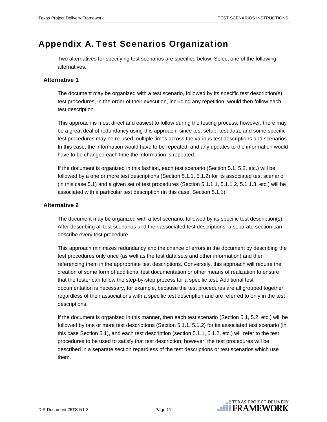### <span id="page-13-0"></span>Appendix A. Test Scenarios Organization

Two alternatives for specifying test scenarios are specified below. Select one of the following alternatives.

#### **Alternative 1**

The document may be organized with a test scenario, followed by its specific test description(s), test procedures, in the order of their execution, including any repetition, would then follow each test description.

This approach is most direct and easiest to follow during the testing process; however, there may be a great deal of redundancy using this approach, since test setup, test data, and some specific test procedures may be re-used multiple times across the various test descriptions and scenarios. In this case, the information would have to be repeated, and any updates to the information would have to be changed each time the information is repeated.

If the document is organized in this fashion, each test scenario (Section 5.1, 5.2, etc.) will be followed by a one or more test descriptions (Section 5.1.1, 5.1.2) for its associated test scenario (in this case 5.1) and a given set of test procedures (Section 5.1.1.1, 5.1.1.2, 5.1.1.3, etc.) will be associated with a particular test description (in this case, Section 5.1.1).

#### **Alternative 2**

The document may be organized with a test scenario, followed by its specific test description(s). After describing all test scenarios and their associated test descriptions, a separate section can describe every test procedure.

This approach minimizes redundancy and the chance of errors in the document by describing the test procedures only once (as well as the test data sets and other information) and then referencing them in the appropriate test descriptions. Conversely, this approach will require the creation of some form of additional test documentation or other means of realization to ensure that the tester can follow the step-by-step process for a specific test. Additional test documentation is necessary, for example, because the test procedures are all grouped together regardless of their associations with a specific test description and are referred to only in the test descriptions.

If the document is organized in this manner, then each test scenario (Section 5.1, 5.2, etc.) will be followed by one or more test descriptions (Section 5.1.1, 5.1.2) for its associated test scenario (in this case Section 5.1), and each test description (section 5.1.1, 5.1.2, etc.) will refer to the test procedures to be used to satisfy that test description; however, the test procedures will be described in a separate section regardless of the test descriptions or test scenarios which use them.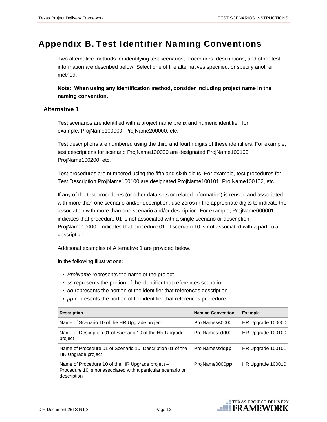**ETEXAS PROJECT DELIVERY**<br>FRAMEWORK

### <span id="page-14-0"></span>Appendix B. Test Identifier Naming Conventions

Two alternative methods for identifying test scenarios, procedures, descriptions, and other test information are described below. Select one of the alternatives specified, or specify another method.

**Note: When using any identification method, consider including project name in the naming convention.** 

#### **Alternative 1**

Test scenarios are identified with a project name prefix and numeric identifier, for example: ProjName100000, ProjName200000, etc.

Test descriptions are numbered using the third and fourth digits of these identifiers. For example, test descriptions for scenario ProjName100000 are designated ProjName100100, ProjName100200, etc.

Test procedures are numbered using the fifth and sixth digits. For example, test procedures for Test Description ProjName100100 are designated ProjName100101, ProjName100102, etc.

If any of the test procedures (or other data sets or related information) is reused and associated with more than one scenario and/or description, use zeros in the appropriate digits to indicate the association with more than one scenario and/or description. For example, ProjName000001 indicates that procedure 01 is not associated with a single scenario or description. ProjName100001 indicates that procedure 01 of scenario 10 is not associated with a particular description.

Additional examples of Alternative 1 are provided below.

In the following illustrations:

- *ProjName* represents the name of the project
- *ss* represents the portion of the identifier that references scenario
- *dd* represents the portion of the identifier that references description
- *pp* represents the portion of the identifier that references procedure

| <b>Description</b>                                                                                                                | <b>Naming Convention</b> | <b>Example</b>    |
|-----------------------------------------------------------------------------------------------------------------------------------|--------------------------|-------------------|
| Name of Scenario 10 of the HR Upgrade project                                                                                     | ProjNamess0000           | HR Upgrade 100000 |
| Name of Description 01 of Scenario 10 of the HR Upgrade<br>project                                                                | ProjNamessdd00           | HR Upgrade 100100 |
| Name of Procedure 01 of Scenario 10, Description 01 of the<br>HR Upgrade project                                                  | ProjNamessddpp           | HR Upgrade 100101 |
| Name of Procedure 10 of the HR Upgrade project $-$<br>Procedure 10 is not associated with a particular scenario or<br>description | ProjName0000pp           | HR Upgrade 100010 |